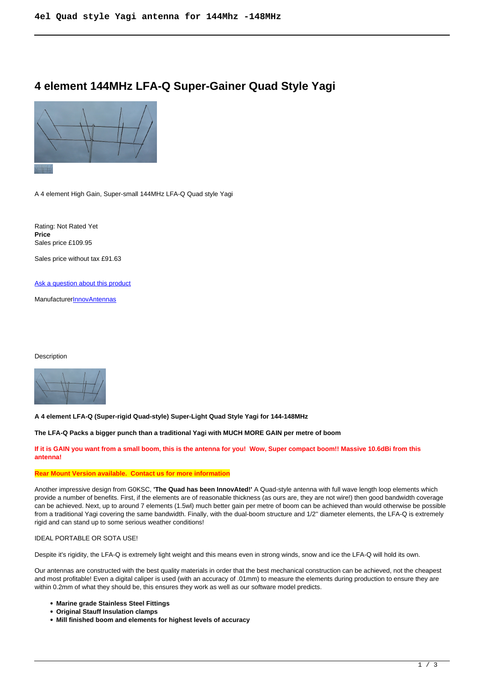# **4 element 144MHz LFA-Q Super-Gainer Quad Style Yagi**



A 4 element High Gain, Super-small 144MHz LFA-Q Quad style Yagi

Rating: Not Rated Yet **Price**  Sales price £109.95

Sales price without tax £91.63

[Ask a question about this product](https://innovantennas.com/index.php?option=com_virtuemart&view=productdetails&task=askquestion&virtuemart_product_id=372&virtuemart_category_id=1&tmpl=component)

**Manufacturer[InnovAntennas](https://innovantennas.com/index.php?option=com_virtuemart&view=manufacturer&virtuemart_manufacturer_id=1&tmpl=component)** 

#### Description



**A 4 element LFA-Q (Super-rigid Quad-style) Super-Light Quad Style Yagi for 144-148MHz**

**The LFA-Q Packs a bigger punch than a traditional Yagi with MUCH MORE GAIN per metre of boom** 

**If it is GAIN you want from a small boom, this is the antenna for you! Wow, Super compact boom!! Massive 10.6dBi from this antenna!**

#### **Rear Mount Version available. Contact us for more information**

Another impressive design from G0KSC, **'The Quad has been InnovAted!'** A Quad-style antenna with full wave length loop elements which provide a number of benefits. First, if the elements are of reasonable thickness (as ours are, they are not wire!) then good bandwidth coverage can be achieved. Next, up to around 7 elements (1.5wl) much better gain per metre of boom can be achieved than would otherwise be possible from a traditional Yagi covering the same bandwidth. Finally, with the dual-boom structure and 1/2'' diameter elements, the LFA-Q is extremely rigid and can stand up to some serious weather conditions!

#### IDEAL PORTABLE OR SOTA USE!

Despite it's rigidity, the LFA-Q is extremely light weight and this means even in strong winds, snow and ice the LFA-Q will hold its own.

Our antennas are constructed with the best quality materials in order that the best mechanical construction can be achieved, not the cheapest and most profitable! Even a digital caliper is used (with an accuracy of .01mm) to measure the elements during production to ensure they are within 0.2mm of what they should be, this ensures they work as well as our software model predicts.

- **Marine grade Stainless Steel Fittings**
- **Original Stauff Insulation clamps**
- **Mill finished boom and elements for highest levels of accuracy**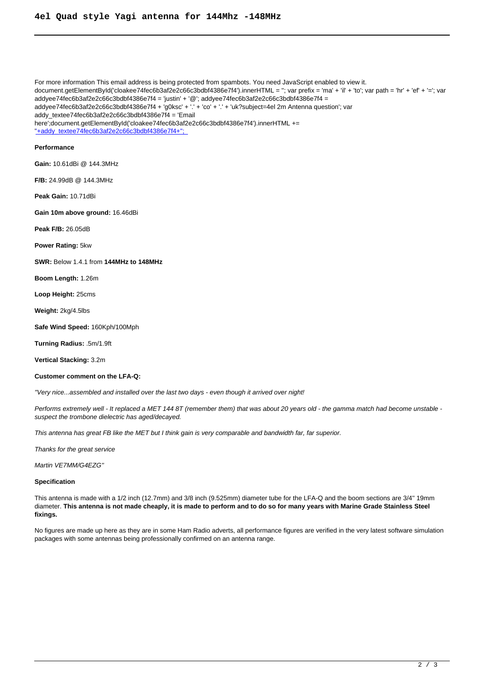For more information This email address is being protected from spambots. You need JavaScript enabled to view it. document.getElementById('cloakee74fec6b3af2e2c66c3bdbf4386e7f4').innerHTML = ''; var prefix = 'ma' + 'il' + 'to'; var path = 'hr' + 'ef' + '='; var addyee74fec6b3af2e2c66c3bdbf4386e7f4 = 'justin' + '@'; addyee74fec6b3af2e2c66c3bdbf4386e7f4 = addyee74fec6b3af2e2c66c3bdbf4386e7f4 + 'g0ksc' + '.' + 'co' + '.' + 'uk?subject=4el 2m Antenna question'; var addy\_textee74fec6b3af2e2c66c3bdbf4386e7f4 = 'Email here';document.getElementById('cloakee74fec6b3af2e2c66c3bdbf4386e7f4').innerHTML += ''+addy\_textee74fec6b3af2e2c66c3bdbf4386e7f4+''; **Performance Gain:** 10.61dBi @ 144.3MHz **F/B:** 24.99dB @ 144.3MHz **Peak Gain:** 10.71dBi **Gain 10m above ground:** 16.46dBi **Peak F/B:** 26.05dB **Power Rating:** 5kw **SWR:** Below 1.4.1 from **144MHz to 148MHz Boom Length:** 1.26m **Loop Height:** 25cms **Weight:** 2kg/4.5lbs **Safe Wind Speed:** 160Kph/100Mph **Turning Radius:** .5m/1.9ft **Vertical Stacking:** 3.2m

## **Customer comment on the LFA-Q:**

''Very nice...assembled and installed over the last two days - even though it arrived over night!

Performs extremely well - It replaced a MET 144 8T (remember them) that was about 20 years old - the gamma match had become unstable suspect the trombone dielectric has aged/decayed.

This antenna has great FB like the MET but I think gain is very comparable and bandwidth far, far superior.

Thanks for the great service

Martin VE7MM/G4EZG''

### **Specification**

This antenna is made with a 1/2 inch (12.7mm) and 3/8 inch (9.525mm) diameter tube for the LFA-Q and the boom sections are 3/4'' 19mm diameter. **This antenna is not made cheaply, it is made to perform and to do so for many years with Marine Grade Stainless Steel fixings.**

No figures are made up here as they are in some Ham Radio adverts, all performance figures are verified in the very latest software simulation packages with some antennas being professionally confirmed on an antenna range.